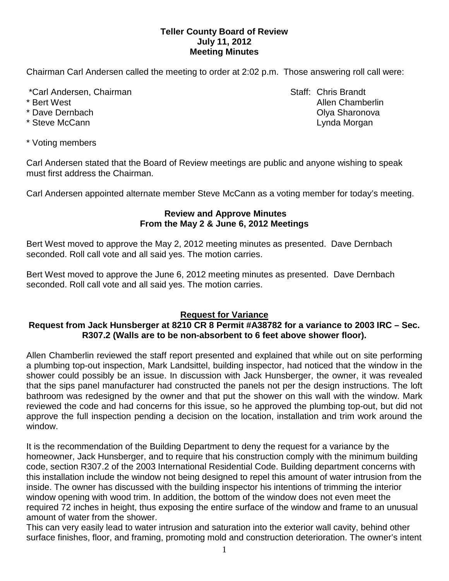# **Teller County Board of Review July 11, 2012 Meeting Minutes**

Chairman Carl Andersen called the meeting to order at 2:02 p.m. Those answering roll call were:

\*Carl Andersen, Chairman Staff: Chris Brandt

- 
- 
- 

\* Bert West Allen Chamberlin Chamberlin Allen Chamberlin Allen Chamberlin Allen Chamberlin \* Dave Dernbach **Olya Sharonova Community** Community Community Community Community Community Community Community Community Community Community Community Community Community Community Community Community Community Communi \* Steve McCann **Lynda Morgan Lynda Morgan** 

\* Voting members

Carl Andersen stated that the Board of Review meetings are public and anyone wishing to speak must first address the Chairman.

Carl Andersen appointed alternate member Steve McCann as a voting member for today's meeting.

# **Review and Approve Minutes From the May 2 & June 6, 2012 Meetings**

Bert West moved to approve the May 2, 2012 meeting minutes as presented. Dave Dernbach seconded. Roll call vote and all said yes. The motion carries.

Bert West moved to approve the June 6, 2012 meeting minutes as presented. Dave Dernbach seconded. Roll call vote and all said yes. The motion carries.

# **Request for Variance**

# **Request from Jack Hunsberger at 8210 CR 8 Permit #A38782 for a variance to 2003 IRC – Sec. R307.2 (Walls are to be non-absorbent to 6 feet above shower floor).**

Allen Chamberlin reviewed the staff report presented and explained that while out on site performing a plumbing top-out inspection, Mark Landsittel, building inspector, had noticed that the window in the shower could possibly be an issue. In discussion with Jack Hunsberger, the owner, it was revealed that the sips panel manufacturer had constructed the panels not per the design instructions. The loft bathroom was redesigned by the owner and that put the shower on this wall with the window. Mark reviewed the code and had concerns for this issue, so he approved the plumbing top-out, but did not approve the full inspection pending a decision on the location, installation and trim work around the window.

It is the recommendation of the Building Department to deny the request for a variance by the homeowner, Jack Hunsberger, and to require that his construction comply with the minimum building code, section R307.2 of the 2003 International Residential Code. Building department concerns with this installation include the window not being designed to repel this amount of water intrusion from the inside. The owner has discussed with the building inspector his intentions of trimming the interior window opening with wood trim. In addition, the bottom of the window does not even meet the required 72 inches in height, thus exposing the entire surface of the window and frame to an unusual amount of water from the shower.

This can very easily lead to water intrusion and saturation into the exterior wall cavity, behind other surface finishes, floor, and framing, promoting mold and construction deterioration. The owner's intent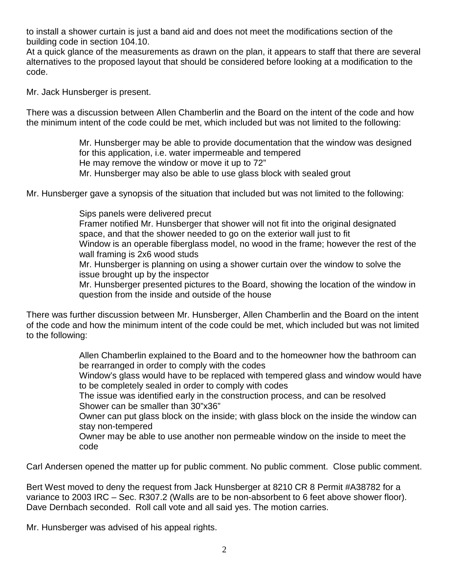to install a shower curtain is just a band aid and does not meet the modifications section of the building code in section 104.10.

At a quick glance of the measurements as drawn on the plan, it appears to staff that there are several alternatives to the proposed layout that should be considered before looking at a modification to the code.

Mr. Jack Hunsberger is present.

There was a discussion between Allen Chamberlin and the Board on the intent of the code and how the minimum intent of the code could be met, which included but was not limited to the following:

> Mr. Hunsberger may be able to provide documentation that the window was designed for this application, i.e. water impermeable and tempered He may remove the window or move it up to 72" Mr. Hunsberger may also be able to use glass block with sealed grout

Mr. Hunsberger gave a synopsis of the situation that included but was not limited to the following:

Sips panels were delivered precut Framer notified Mr. Hunsberger that shower will not fit into the original designated space, and that the shower needed to go on the exterior wall just to fit Window is an operable fiberglass model, no wood in the frame; however the rest of the wall framing is 2x6 wood studs Mr. Hunsberger is planning on using a shower curtain over the window to solve the issue brought up by the inspector Mr. Hunsberger presented pictures to the Board, showing the location of the window in question from the inside and outside of the house

There was further discussion between Mr. Hunsberger, Allen Chamberlin and the Board on the intent of the code and how the minimum intent of the code could be met, which included but was not limited to the following:

> Allen Chamberlin explained to the Board and to the homeowner how the bathroom can be rearranged in order to comply with the codes

Window's glass would have to be replaced with tempered glass and window would have to be completely sealed in order to comply with codes

The issue was identified early in the construction process, and can be resolved Shower can be smaller than 30"x36"

Owner can put glass block on the inside; with glass block on the inside the window can stay non-tempered

Owner may be able to use another non permeable window on the inside to meet the code

Carl Andersen opened the matter up for public comment. No public comment. Close public comment.

Bert West moved to deny the request from Jack Hunsberger at 8210 CR 8 Permit #A38782 for a variance to 2003 IRC – Sec. R307.2 (Walls are to be non-absorbent to 6 feet above shower floor). Dave Dernbach seconded.Roll call vote and all said yes. The motion carries.

Mr. Hunsberger was advised of his appeal rights.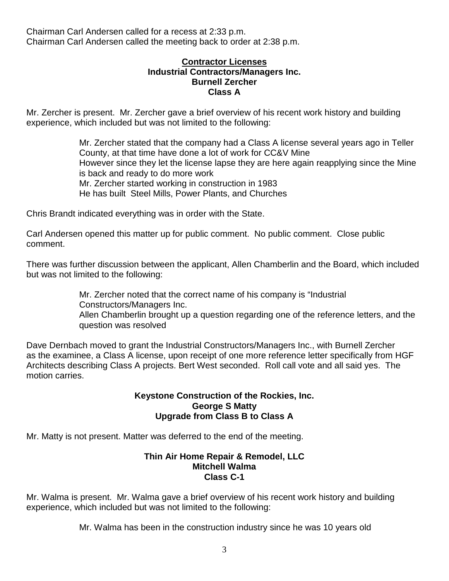### **Contractor Licenses Industrial Contractors/Managers Inc. Burnell Zercher Class A**

Mr. Zercher is present. Mr. Zercher gave a brief overview of his recent work history and building experience, which included but was not limited to the following:

> Mr. Zercher stated that the company had a Class A license several years ago in Teller County, at that time have done a lot of work for CC&V Mine However since they let the license lapse they are here again reapplying since the Mine is back and ready to do more work Mr. Zercher started working in construction in 1983 He has built Steel Mills, Power Plants, and Churches

Chris Brandt indicated everything was in order with the State.

Carl Andersen opened this matter up for public comment. No public comment. Close public comment.

There was further discussion between the applicant, Allen Chamberlin and the Board, which included but was not limited to the following:

> Mr. Zercher noted that the correct name of his company is "Industrial Constructors/Managers Inc.

Allen Chamberlin brought up a question regarding one of the reference letters, and the question was resolved

Dave Dernbach moved to grant the Industrial Constructors/Managers Inc., with Burnell Zercher as the examinee, a Class A license, upon receipt of one more reference letter specifically from HGF Architects describing Class A projects. Bert West seconded. Roll call vote and all said yes. The motion carries.

### **Keystone Construction of the Rockies, Inc. George S Matty Upgrade from Class B to Class A**

Mr. Matty is not present. Matter was deferred to the end of the meeting.

#### **Thin Air Home Repair & Remodel, LLC Mitchell Walma Class C-1**

Mr. Walma is present. Mr. Walma gave a brief overview of his recent work history and building experience, which included but was not limited to the following:

Mr. Walma has been in the construction industry since he was 10 years old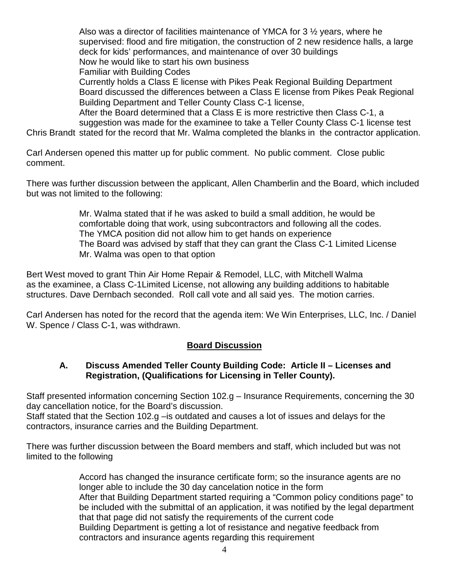Also was a director of facilities maintenance of YMCA for 3 ½ years, where he supervised: flood and fire mitigation, the construction of 2 new residence halls, a large deck for kids' performances, and maintenance of over 30 buildings Now he would like to start his own business Familiar with Building Codes Currently holds a Class E license with Pikes Peak Regional Building Department Board discussed the differences between a Class E license from Pikes Peak Regional Building Department and Teller County Class C-1 license, After the Board determined that a Class E is more restrictive then Class C-1, a suggestion was made for the examinee to take a Teller County Class C-1 license test

Chris Brandt stated for the record that Mr. Walma completed the blanks in the contractor application.

Carl Andersen opened this matter up for public comment. No public comment. Close public comment.

There was further discussion between the applicant, Allen Chamberlin and the Board, which included but was not limited to the following:

> Mr. Walma stated that if he was asked to build a small addition, he would be comfortable doing that work, using subcontractors and following all the codes. The YMCA position did not allow him to get hands on experience The Board was advised by staff that they can grant the Class C-1 Limited License Mr. Walma was open to that option

Bert West moved to grant Thin Air Home Repair & Remodel, LLC, with Mitchell Walma as the examinee, a Class C-1Limited License, not allowing any building additions to habitable structures. Dave Dernbach seconded. Roll call vote and all said yes. The motion carries.

Carl Andersen has noted for the record that the agenda item: We Win Enterprises, LLC, Inc. / Daniel W. Spence / Class C-1, was withdrawn.

# **Board Discussion**

# **A. Discuss Amended Teller County Building Code: Article II – Licenses and Registration, (Qualifications for Licensing in Teller County).**

Staff presented information concerning Section 102.g – Insurance Requirements, concerning the 30 day cancellation notice, for the Board's discussion.

Staff stated that the Section 102.g – is outdated and causes a lot of issues and delays for the contractors, insurance carries and the Building Department.

There was further discussion between the Board members and staff, which included but was not limited to the following

> Accord has changed the insurance certificate form; so the insurance agents are no longer able to include the 30 day cancelation notice in the form After that Building Department started requiring a "Common policy conditions page" to be included with the submittal of an application, it was notified by the legal department that that page did not satisfy the requirements of the current code Building Department is getting a lot of resistance and negative feedback from contractors and insurance agents regarding this requirement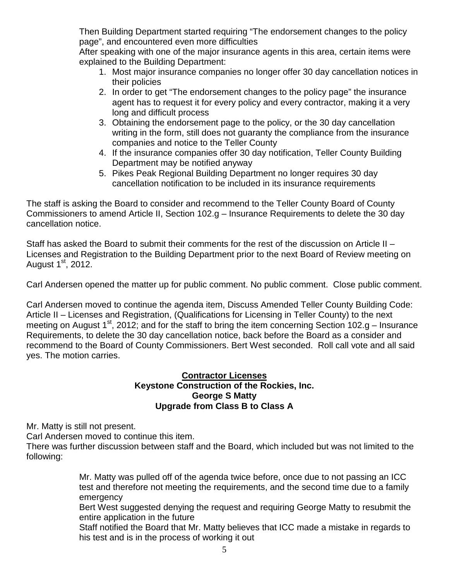Then Building Department started requiring "The endorsement changes to the policy page", and encountered even more difficulties

After speaking with one of the major insurance agents in this area, certain items were explained to the Building Department:

- 1. Most major insurance companies no longer offer 30 day cancellation notices in their policies
- 2. In order to get "The endorsement changes to the policy page" the insurance agent has to request it for every policy and every contractor, making it a very long and difficult process
- 3. Obtaining the endorsement page to the policy, or the 30 day cancellation writing in the form, still does not guaranty the compliance from the insurance companies and notice to the Teller County
- 4. If the insurance companies offer 30 day notification, Teller County Building Department may be notified anyway
- 5. Pikes Peak Regional Building Department no longer requires 30 day cancellation notification to be included in its insurance requirements

The staff is asking the Board to consider and recommend to the Teller County Board of County Commissioners to amend Article II, Section 102.g – Insurance Requirements to delete the 30 day cancellation notice.

Staff has asked the Board to submit their comments for the rest of the discussion on Article II – Licenses and Registration to the Building Department prior to the next Board of Review meeting on August  $1<sup>st</sup>$ , 2012.

Carl Andersen opened the matter up for public comment. No public comment. Close public comment.

Carl Andersen moved to continue the agenda item, Discuss Amended Teller County Building Code: Article II – Licenses and Registration, (Qualifications for Licensing in Teller County) to the next meeting on August 1<sup>st</sup>, 2012; and for the staff to bring the item concerning Section 102.g – Insurance Requirements, to delete the 30 day cancellation notice, back before the Board as a consider and recommend to the Board of County Commissioners. Bert West seconded. Roll call vote and all said yes. The motion carries.

# **Contractor Licenses Keystone Construction of the Rockies, Inc. George S Matty Upgrade from Class B to Class A**

Mr. Matty is still not present.

Carl Andersen moved to continue this item.

There was further discussion between staff and the Board, which included but was not limited to the following:

> Mr. Matty was pulled off of the agenda twice before, once due to not passing an ICC test and therefore not meeting the requirements, and the second time due to a family emergency

> Bert West suggested denying the request and requiring George Matty to resubmit the entire application in the future

> Staff notified the Board that Mr. Matty believes that ICC made a mistake in regards to his test and is in the process of working it out